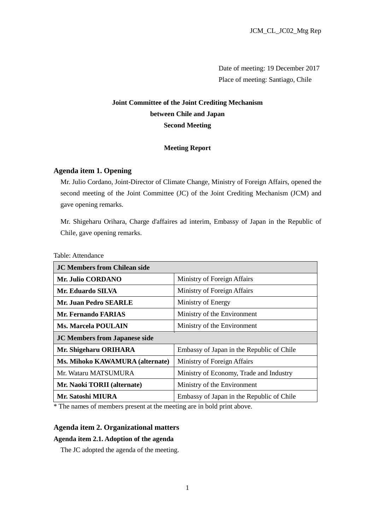Date of meeting: 19 December 2017 Place of meeting: Santiago, Chile

# **Joint Committee of the Joint Crediting Mechanism between Chile and Japan Second Meeting**

# **Meeting Report**

# **Agenda item 1. Opening**

Mr. Julio Cordano, Joint-Director of Climate Change, Ministry of Foreign Affairs, opened the second meeting of the Joint Committee (JC) of the Joint Crediting Mechanism (JCM) and gave opening remarks.

Mr. Shigeharu Orihara, Charge d'affaires ad interim, Embassy of Japan in the Republic of Chile, gave opening remarks.

## Table: Attendance

| <b>JC Members from Chilean side</b>  |                                           |
|--------------------------------------|-------------------------------------------|
| Mr. Julio CORDANO                    | Ministry of Foreign Affairs               |
| Mr. Eduardo SILVA                    | Ministry of Foreign Affairs               |
| <b>Mr. Juan Pedro SEARLE</b>         | Ministry of Energy                        |
| <b>Mr. Fernando FARIAS</b>           | Ministry of the Environment               |
| <b>Ms. Marcela POULAIN</b>           | Ministry of the Environment               |
| <b>JC Members from Japanese side</b> |                                           |
|                                      |                                           |
| Mr. Shigeharu ORIHARA                | Embassy of Japan in the Republic of Chile |
| Ms. Mihoko KAWAMURA (alternate)      | Ministry of Foreign Affairs               |
| Mr. Wataru MATSUMURA                 | Ministry of Economy, Trade and Industry   |
| Mr. Naoki TORII (alternate)          | Ministry of the Environment               |

\* The names of members present at the meeting are in bold print above.

## **Agenda item 2. Organizational matters**

#### **Agenda item 2.1. Adoption of the agenda**

The JC adopted the agenda of the meeting.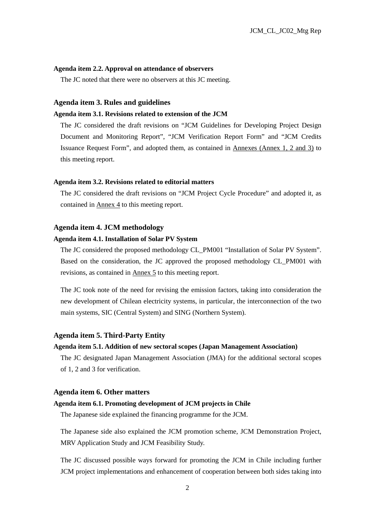### **Agenda item 2.2. Approval on attendance of observers**

The JC noted that there were no observers at this JC meeting.

#### **Agenda item 3. Rules and guidelines**

## **Agenda item 3.1. Revisions related to extension of the JCM**

The JC considered the draft revisions on "JCM Guidelines for Developing Project Design Document and Monitoring Report", "JCM Verification Report Form" and "JCM Credits Issuance Request Form", and adopted them, as contained in Annexes (Annex 1, 2 and 3) to this meeting report.

### **Agenda item 3.2. Revisions related to editorial matters**

The JC considered the draft revisions on "JCM Project Cycle Procedure" and adopted it, as contained in Annex 4 to this meeting report.

#### **Agenda item 4. JCM methodology**

## **Agenda item 4.1. Installation of Solar PV System**

The JC considered the proposed methodology CL\_PM001 "Installation of Solar PV System". Based on the consideration, the JC approved the proposed methodology CL\_PM001 with revisions, as contained in Annex 5 to this meeting report.

The JC took note of the need for revising the emission factors, taking into consideration the new development of Chilean electricity systems, in particular, the interconnection of the two main systems, SIC (Central System) and SING (Northern System).

## **Agenda item 5. Third-Party Entity**

#### **Agenda item 5.1. Addition of new sectoral scopes (Japan Management Association)**

The JC designated Japan Management Association (JMA) for the additional sectoral scopes of 1, 2 and 3 for verification.

#### **Agenda item 6. Other matters**

## **Agenda item 6.1. Promoting development of JCM projects in Chile**

The Japanese side explained the financing programme for the JCM.

The Japanese side also explained the JCM promotion scheme, JCM Demonstration Project, MRV Application Study and JCM Feasibility Study.

The JC discussed possible ways forward for promoting the JCM in Chile including further JCM project implementations and enhancement of cooperation between both sides taking into